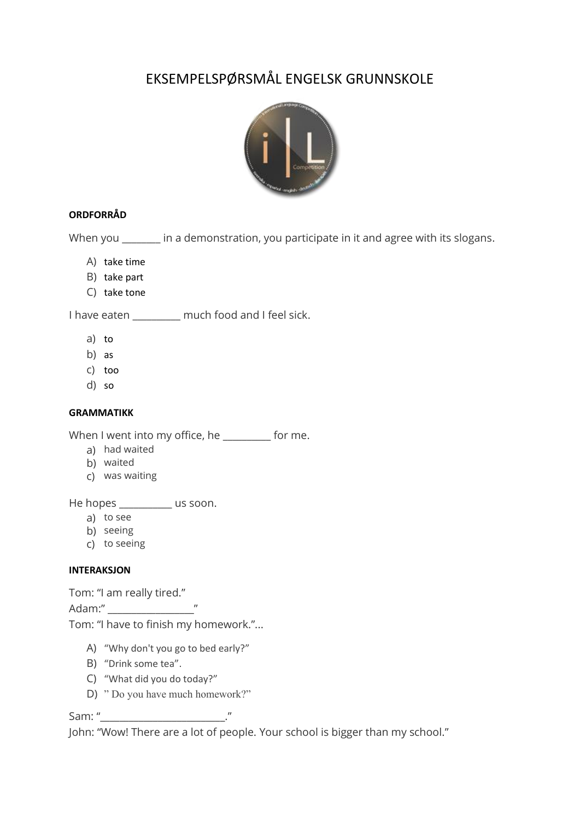# EKSEMPELSPØRSMÅL ENGELSK GRUNNSKOLE



## **ORDFORRÅD**

When you \_\_\_\_\_\_\_ in a demonstration, you participate in it and agree with its slogans.

- A) take time
- B) take part
- C) take tone

I have eaten \_\_\_\_\_\_\_\_\_\_ much food and I feel sick.

- a) to
- b) as
- c) too
- d) so

### **GRAMMATIKK**

When I went into my office, he \_\_\_\_\_\_\_\_\_ for me.

- a) had waited
- b) waited
- c) was waiting

He hopes \_\_\_\_\_\_\_\_\_\_ us soon.

- a) to see
- b) seeing
- c) to seeing

### **INTERAKSJON**

Tom: "I am really tired."

Adam:" The contract of the contract of the contract of the contract of the contract of the contract of the contract of the contract of the contract of the contract of the contract of the contract of the contract of the con

Tom: "I have to finish my homework."...

- A) "Why don't you go to bed early?"
- B) "Drink some tea".
- C) "What did you do today?"
- D) " Do you have much homework?"

Sam: "

John: "Wow! There are a lot of people. Your school is bigger than my school."